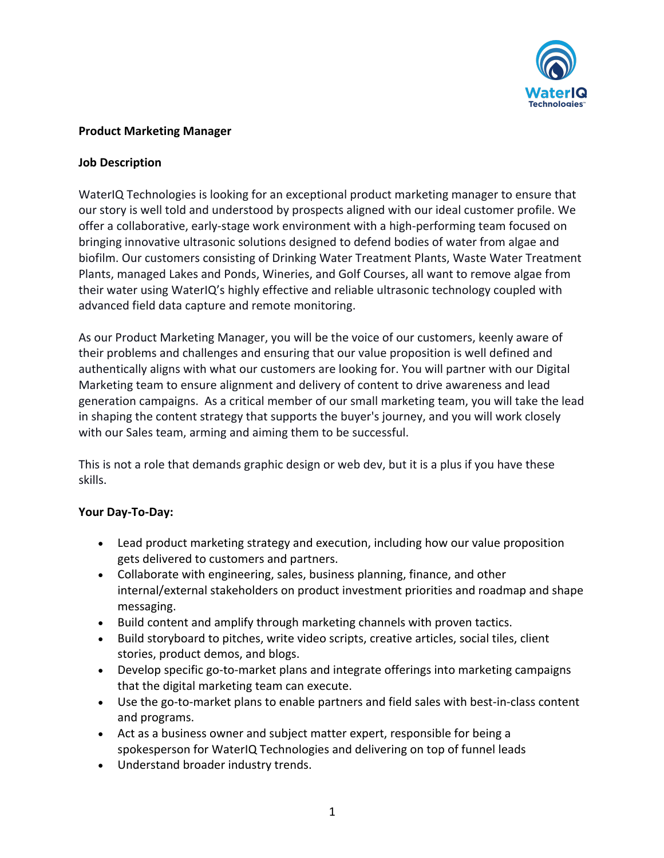

#### **Product Marketing Manager**

#### **Job Description**

WaterIQ Technologies is looking for an exceptional product marketing manager to ensure that our story is well told and understood by prospects aligned with our ideal customer profile. We offer a collaborative, early-stage work environment with a high-performing team focused on bringing innovative ultrasonic solutions designed to defend bodies of water from algae and biofilm. Our customers consisting of Drinking Water Treatment Plants, Waste Water Treatment Plants, managed Lakes and Ponds, Wineries, and Golf Courses, all want to remove algae from their water using WaterIQ's highly effective and reliable ultrasonic technology coupled with advanced field data capture and remote monitoring.

As our Product Marketing Manager, you will be the voice of our customers, keenly aware of their problems and challenges and ensuring that our value proposition is well defined and authentically aligns with what our customers are looking for. You will partner with our Digital Marketing team to ensure alignment and delivery of content to drive awareness and lead generation campaigns. As a critical member of our small marketing team, you will take the lead in shaping the content strategy that supports the buyer's journey, and you will work closely with our Sales team, arming and aiming them to be successful.

This is not a role that demands graphic design or web dev, but it is a plus if you have these skills.

## **Your Day-To-Day:**

- Lead product marketing strategy and execution, including how our value proposition gets delivered to customers and partners.
- Collaborate with engineering, sales, business planning, finance, and other internal/external stakeholders on product investment priorities and roadmap and shape messaging.
- Build content and amplify through marketing channels with proven tactics.
- Build storyboard to pitches, write video scripts, creative articles, social tiles, client stories, product demos, and blogs.
- Develop specific go-to-market plans and integrate offerings into marketing campaigns that the digital marketing team can execute.
- Use the go-to-market plans to enable partners and field sales with best-in-class content and programs.
- Act as a business owner and subject matter expert, responsible for being a spokesperson for WaterIQ Technologies and delivering on top of funnel leads
- Understand broader industry trends.